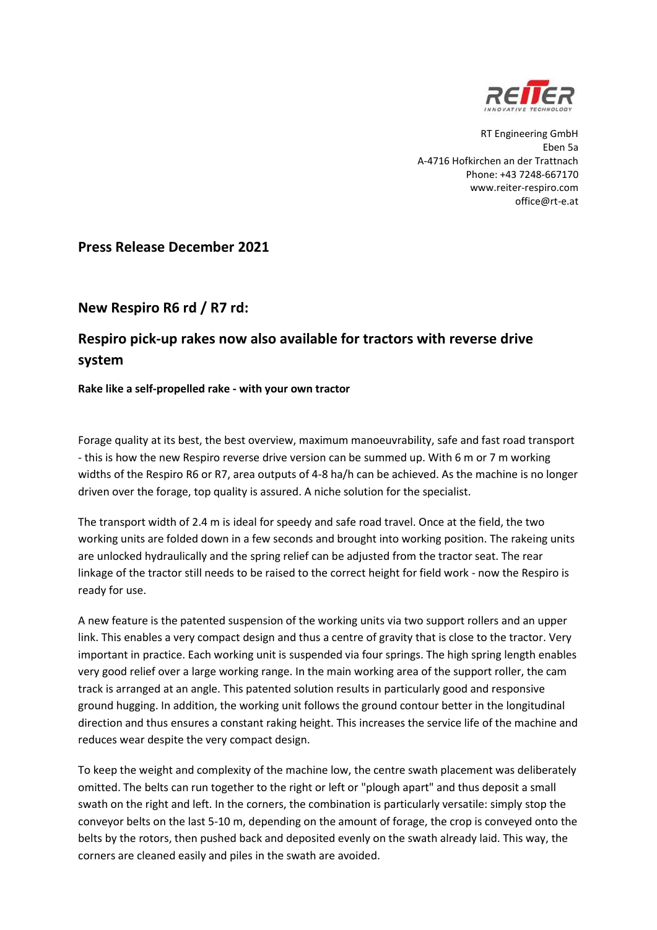

RT Engineering GmbH Eben 5a A-4716 Hofkirchen an der Trattnach Phone: +43 7248-667170 www.reiter-respiro.com office@rt-e.at

## **Press Release December 2021**

## **New Respiro R6 rd / R7 rd:**

## **Respiro pick-up rakes now also available for tractors with reverse drive system**

**Rake like a self-propelled rake - with your own tractor**

Forage quality at its best, the best overview, maximum manoeuvrability, safe and fast road transport - this is how the new Respiro reverse drive version can be summed up. With 6 m or 7 m working widths of the Respiro R6 or R7, area outputs of 4-8 ha/h can be achieved. As the machine is no longer driven over the forage, top quality is assured. A niche solution for the specialist.

The transport width of 2.4 m is ideal for speedy and safe road travel. Once at the field, the two working units are folded down in a few seconds and brought into working position. The rakeing units are unlocked hydraulically and the spring relief can be adjusted from the tractor seat. The rear linkage of the tractor still needs to be raised to the correct height for field work - now the Respiro is ready for use.

A new feature is the patented suspension of the working units via two support rollers and an upper link. This enables a very compact design and thus a centre of gravity that is close to the tractor. Very important in practice. Each working unit is suspended via four springs. The high spring length enables very good relief over a large working range. In the main working area of the support roller, the cam track is arranged at an angle. This patented solution results in particularly good and responsive ground hugging. In addition, the working unit follows the ground contour better in the longitudinal direction and thus ensures a constant raking height. This increases the service life of the machine and reduces wear despite the very compact design.

To keep the weight and complexity of the machine low, the centre swath placement was deliberately omitted. The belts can run together to the right or left or "plough apart" and thus deposit a small swath on the right and left. In the corners, the combination is particularly versatile: simply stop the conveyor belts on the last 5-10 m, depending on the amount of forage, the crop is conveyed onto the belts by the rotors, then pushed back and deposited evenly on the swath already laid. This way, the corners are cleaned easily and piles in the swath are avoided.